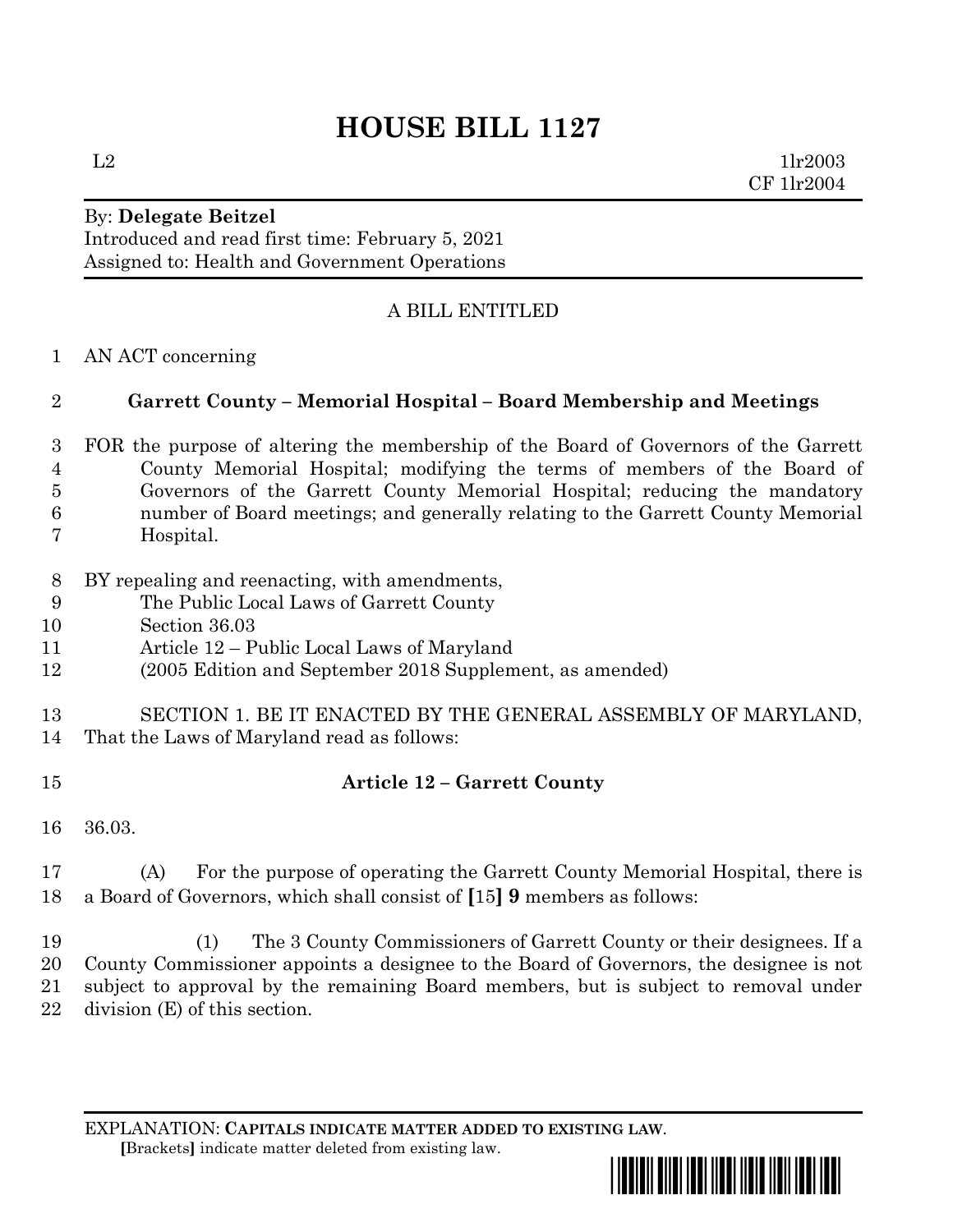# **HOUSE BILL 1127**

 $L2$  1lr2003 CF 1lr2004

#### By: **Delegate Beitzel** Introduced and read first time: February 5, 2021 Assigned to: Health and Government Operations

# A BILL ENTITLED

AN ACT concerning

### **Garrett County – Memorial Hospital – Board Membership and Meetings**

- FOR the purpose of altering the membership of the Board of Governors of the Garrett County Memorial Hospital; modifying the terms of members of the Board of Governors of the Garrett County Memorial Hospital; reducing the mandatory number of Board meetings; and generally relating to the Garrett County Memorial Hospital.
- BY repealing and reenacting, with amendments,
- The Public Local Laws of Garrett County
- Section 36.03
- Article 12 Public Local Laws of Maryland
- (2005 Edition and September 2018 Supplement, as amended)
- SECTION 1. BE IT ENACTED BY THE GENERAL ASSEMBLY OF MARYLAND, That the Laws of Maryland read as follows:
- 

## **Article 12 – Garrett County**

- 36.03.
- (A) For the purpose of operating the Garrett County Memorial Hospital, there is a Board of Governors, which shall consist of **[**15**] 9** members as follows:

 (1) The 3 County Commissioners of Garrett County or their designees. If a County Commissioner appoints a designee to the Board of Governors, the designee is not subject to approval by the remaining Board members, but is subject to removal under division (E) of this section.

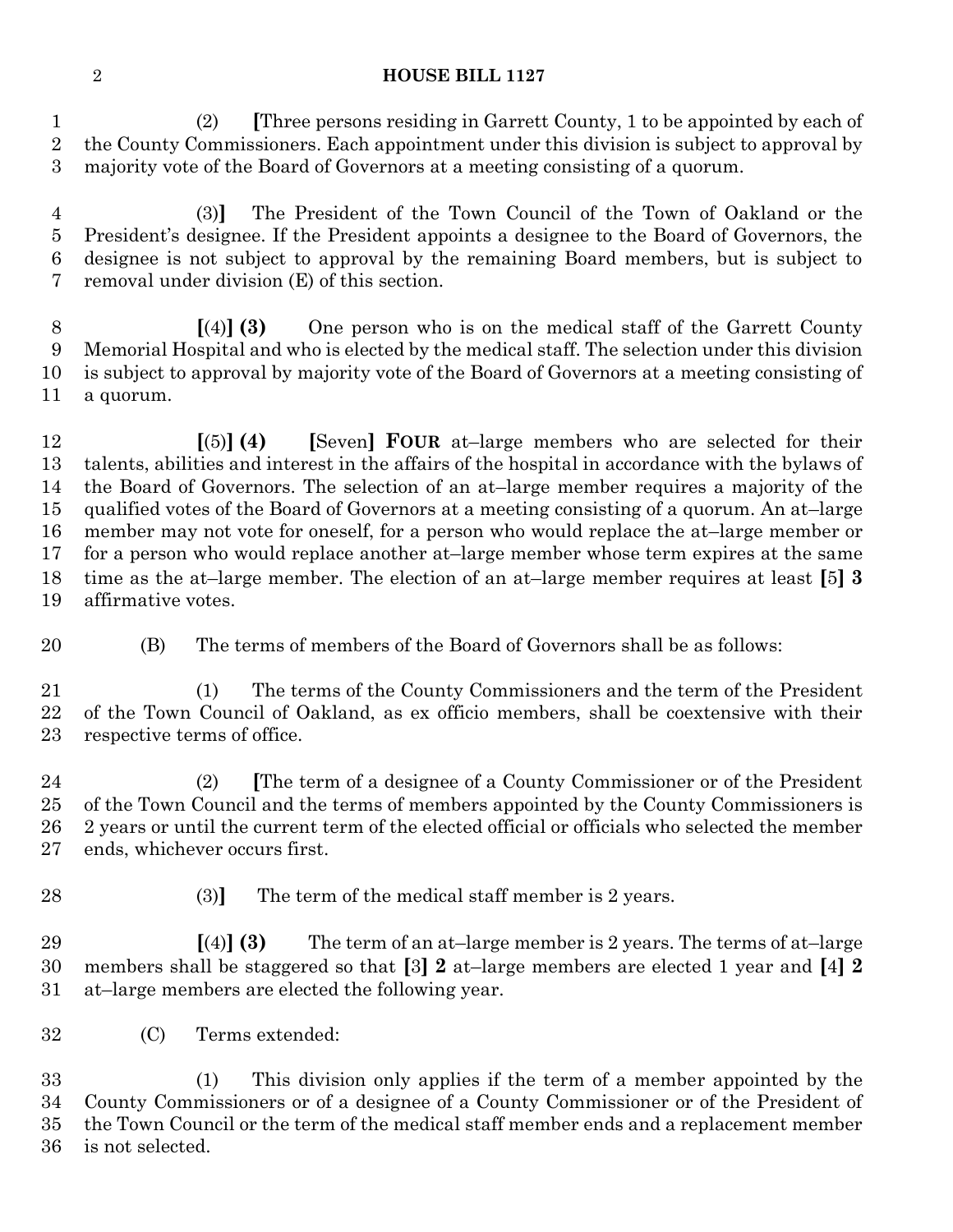#### **HOUSE BILL 1127**

 (2) **[**Three persons residing in Garrett County, 1 to be appointed by each of the County Commissioners. Each appointment under this division is subject to approval by majority vote of the Board of Governors at a meeting consisting of a quorum.

 (3)**]** The President of the Town Council of the Town of Oakland or the President's designee. If the President appoints a designee to the Board of Governors, the designee is not subject to approval by the remaining Board members, but is subject to removal under division (E) of this section.

 **[**(4)**] (3)** One person who is on the medical staff of the Garrett County Memorial Hospital and who is elected by the medical staff. The selection under this division is subject to approval by majority vote of the Board of Governors at a meeting consisting of a quorum.

 **[**(5)**] (4) [**Seven**] FOUR** at–large members who are selected for their talents, abilities and interest in the affairs of the hospital in accordance with the bylaws of the Board of Governors. The selection of an at–large member requires a majority of the qualified votes of the Board of Governors at a meeting consisting of a quorum. An at–large member may not vote for oneself, for a person who would replace the at–large member or for a person who would replace another at–large member whose term expires at the same time as the at–large member. The election of an at–large member requires at least **[**5**] 3** affirmative votes.

(B) The terms of members of the Board of Governors shall be as follows:

 (1) The terms of the County Commissioners and the term of the President of the Town Council of Oakland, as ex officio members, shall be coextensive with their respective terms of office.

 (2) **[**The term of a designee of a County Commissioner or of the President of the Town Council and the terms of members appointed by the County Commissioners is 2 years or until the current term of the elected official or officials who selected the member ends, whichever occurs first.

28 (3) The term of the medical staff member is 2 years.

 **[**(4)**] (3)** The term of an at–large member is 2 years. The terms of at–large members shall be staggered so that **[**3**] 2** at–large members are elected 1 year and **[**4**] 2** at–large members are elected the following year.

(C) Terms extended:

 (1) This division only applies if the term of a member appointed by the County Commissioners or of a designee of a County Commissioner or of the President of the Town Council or the term of the medical staff member ends and a replacement member is not selected.